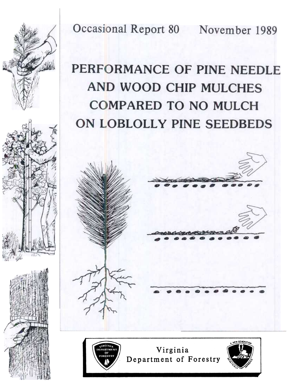Occasional Report 80 November 1989

# PERFORMANCE OF PINE NEEDLE AND WOOD CHIP MULCHES **COMPARED TO NO MULCH** ON LOBLOLLY PINE SEEDBEDS





Virginia Department of Forestry

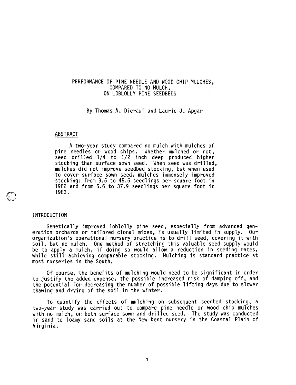## PERFORMANCE OF PINE NEEDLE AND WOOD CHIP MULCHES, COMPARED TO NO MULCH, ON LOBLOLLY PINE SEEDBEDS

By Thomas A. Dierauf and Laurie J. Apgar

#### ABSTRACT

A two-year study compared no mulch with mulches of pine needles or wood chips. Whether mulched or not, seed drilled 1/4 to 1/2 inch deep produced higher stocking than surface sown seed. When seed was drilled, mulches did not improve seedbed stocking, but when used to cover surface sown seed, mulches immensely improved stocking: from 9.5 to 45.6 seedlings per square foot in 1982 and from 5.6 to 37.9 seedlings per square foot in 1983.

### INTRODUCTION

~ 't 1  $\cdot$ 

> Genetically improved loblolly pine seed, especially from advanced generation orchards or tailored clonal mixes, is usually limited in supply. Our organization's operational nursery practice is to drill seed, covering it with soil, but no mulch. One method of stretching this valuable seed supply would be to apply a mulch, if doing so would allow a reduction in seeding rates, while still achieving comparable stocking. Mulching is standard practice at most nurseries in the South.

> Of course, the benefits of mulching would need to be significant in order to justify the added expense, the possible increased risk of damping off, and the potential for decreasing the number of possible lifting days due to slower thawing and drying of the soil in the winter.

> To quantify the effects of mulching on subsequent seedbed stocking, a two-year study was carried out to compare pine needle or wood chip mulches with no mulch, on both surface sown and drilled seed. The study was conducted in sand to loamy sand soils at the New Kent nursery in the Coastal Plain of Virginia.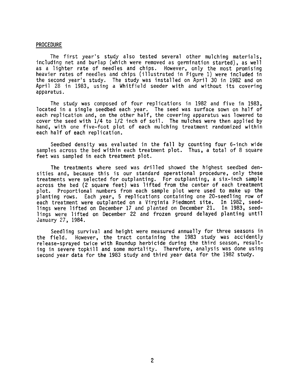#### PROCEDURE

The first year's study also tested several other mulching materials, including net and burlap (which were removed as germination started), as well as a lighter rate of needles and chips. However, only the most promising heavier rates of needles and chips (illustrated in Figure 1) were included in the second year's study. The study was installed on April 30 in 1982 and on April 28 in 1983, using a Whitfield seeder with and without its covering apparatus.

The study was composed of four replications in 1982 and five in 1983, located in a single seedbed each year. The seed was surface sown on half of each replication and, on the other half, the covering apparatus was lowered to cover the seed with 1/4 to 1/2 inch of soil. The mulches were then applied by hand, with one five-foot plot of each mulching treatment randomized within each half of each replication.

Seedbed density was evaluated in the fall by counting four 6-inch wide samples across the bed within each treatment plot. Thus, a total of 8 square feet was sampled in each treatment plot.

The treatments where seed was drilled showed the highest seedbed densities and, because this is our standard operational procedure, only these treatments were selected for outplanting. For outplanting, a six-inch sample across the bed (2 square feet) was lifted from the center of each treatment plot. Proportional numbers from each sample plot were used to make up the planting rows. Each year, 5 replications containing one 20-seedling row of each treatment were outplanted on a Virginia Piedmont site. In 1982, seedlings were lifted on December 17 and planted on December 21. In 1983, seedlings were lifted on December 22 and frozen ground delayed planting until January 27, 1984.

Seedling survival and height were measured annually for three seasons in the field. However, the tract containing the 1983 study was accidently release-sprayed twice with Roundup herbicide during the third season, resulting in severe topkill and some mortality. Therefore, analysis was done using second year data for the 1983 study and third year data for the 1982 study.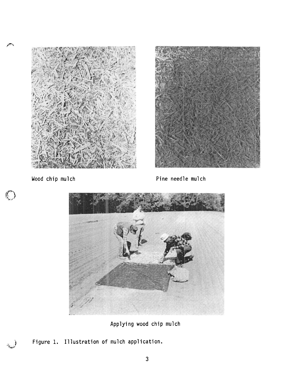

 $\epsilon$ 

 $\mathbb{C}$ 



Wood chip mulch example and the pine needle mulch



Applying wood chip mulch

Figure 1. Illustration of mulch application.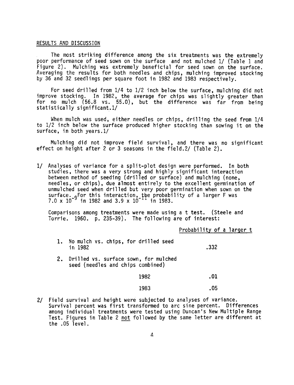## RESULTS AND DISCUSSION

The most striking difference among the six treatments was the extremely poor performance of seed sown on the surface and not mulched 1/ (Table 1 and Figure 2). Mulching was extremely beneficial for seed sown on the surface. Averaging the results for both needles and chips, mulching improved stocking by 36 and 32 seedlings per square foot in 1982 and 1983 respectively.

For seed drilled from 1/4 to 1/2 inch below the surface, mulching did not improve stocking. In 1982, the average for chips was slightly greater than for no mulch (56.8 vs. 55.0), but the difference was far from being statistically significant.1/

When mulch was used, either needles or chips, drilling the seed from 1/4 to 1/2 inch below the surface produced higher stocking than sowing it on the surface, in both years.1/

Mulching did not improve field survival, and there was no significant effect on height after 2 or 3 seasons in the field.2/ Table 2).

1/ Analyses of variance for a split-plot design were performed. In both studies, there was a very strong and highly significant interaction between method of seeding (drilled or surface) and mulching (none, needles, or chips), due almost entirely to the excellent germination of unmulched seed when drilled but very poor germination when sown on the surface. <sub>o</sub>for this interaction, the probability of a larger F was 7.0 x 10 in 1982 and 3.9 x 10 In 1983.

Comparisons among treatments were made using a t test. (Steele and Torrie. 1960. p.235-39). The following are of interest:

Probability of a larger t

- 1. No mulch vs. chips, for drilled seed in 1982 .332
- 2. Drilled vs. surface sown, for mulched seed (needles and chips combined)

1982 .01

$$
1983 \t\t 05
$$

2/ Field survival and height were subjected to analyses of varian Survival percent was first transformed to arc sine percent. Differences among individual treatments were tested using Duncan's New Multiple Range Test. Figures in Table 2 not followed by the same letter are different at the .05 level.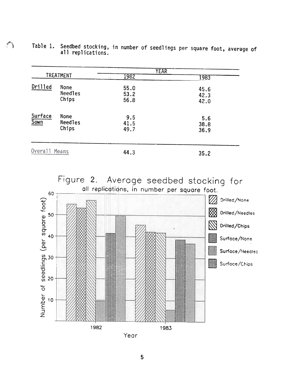| <b>TREATMENT</b> |                                 | <b>YEAR</b>          |                      |
|------------------|---------------------------------|----------------------|----------------------|
|                  |                                 | 1982                 | 1983                 |
| Drilled          | None<br><b>Needles</b><br>Chips | 55.0<br>53.2<br>56.8 | 45.6<br>42.3<br>42.0 |
| Surface<br>Sown  | None<br>Needles<br>Chips        | 9.5<br>41.5<br>49.7  | 5.6<br>38.8<br>36.9  |
| Overall Means    |                                 | 44.3                 | 35.2                 |

 $\hat{I}$  Table 1. Seedbed stocking, in number of seedlings per square foot, average of all replications.





Year